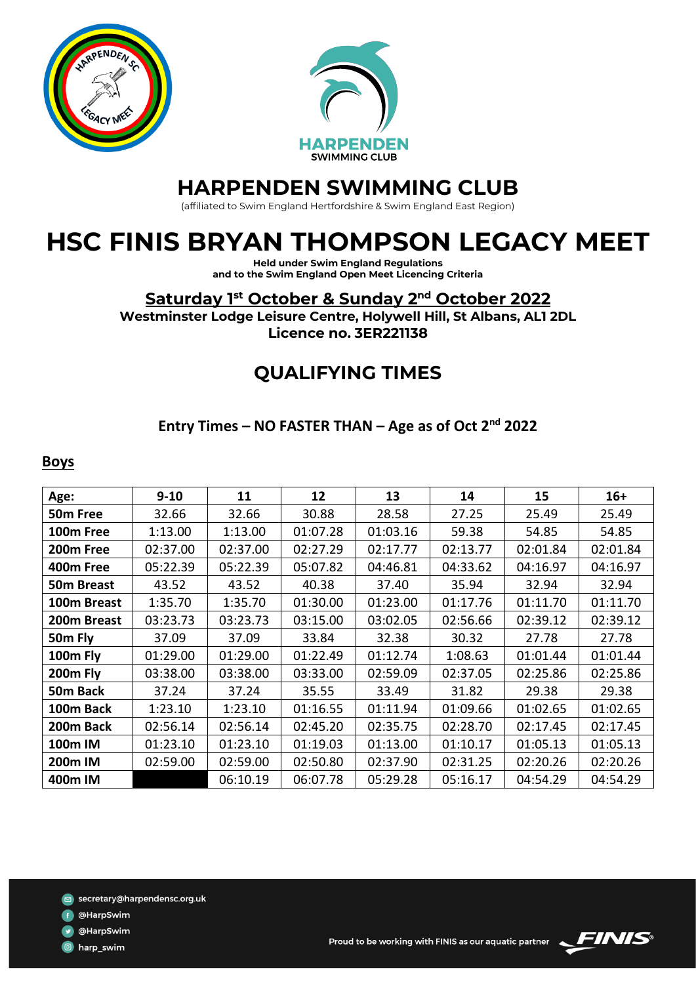



## **HARPENDEN SWIMMING CLUB**

(affiliated to Swim England Hertfordshire & Swim England East Region)

# **HSC FINIS BRYAN THOMPSON LEGACY MEET**

**Held under Swim England Regulations and to the Swim England Open Meet Licencing Criteria**

**Saturday 1 st October & Sunday 2 nd October 2022**

**Westminster Lodge Leisure Centre, Holywell Hill, St Albans, AL1 2DL Licence no. 3ER221138**

## **QUALIFYING TIMES**

#### **Entry Times – NO FASTER THAN – Age as of Oct 2nd 2022**

#### **Boys**

| Age:                  | $9 - 10$ | 11       | 12       | 13       | 14       | 15       | $16+$    |
|-----------------------|----------|----------|----------|----------|----------|----------|----------|
| 50 <sub>m</sub> Free  | 32.66    | 32.66    | 30.88    | 28.58    | 27.25    | 25.49    | 25.49    |
| 100m Free             | 1:13.00  | 1:13.00  | 01:07.28 | 01:03.16 | 59.38    | 54.85    | 54.85    |
| 200 <sub>m</sub> Free | 02:37.00 | 02:37.00 | 02:27.29 | 02:17.77 | 02:13.77 | 02:01.84 | 02:01.84 |
| 400m Free             | 05:22.39 | 05:22.39 | 05:07.82 | 04:46.81 | 04:33.62 | 04:16.97 | 04:16.97 |
| 50m Breast            | 43.52    | 43.52    | 40.38    | 37.40    | 35.94    | 32.94    | 32.94    |
| 100m Breast           | 1:35.70  | 1:35.70  | 01:30.00 | 01:23.00 | 01:17.76 | 01:11.70 | 01:11.70 |
| 200m Breast           | 03:23.73 | 03:23.73 | 03:15.00 | 03:02.05 | 02:56.66 | 02:39.12 | 02:39.12 |
| 50m Fly               | 37.09    | 37.09    | 33.84    | 32.38    | 30.32    | 27.78    | 27.78    |
| 100m Fly              | 01:29.00 | 01:29.00 | 01:22.49 | 01:12.74 | 1:08.63  | 01:01.44 | 01:01.44 |
| 200m Fly              | 03:38.00 | 03:38.00 | 03:33.00 | 02:59.09 | 02:37.05 | 02:25.86 | 02:25.86 |
| 50m Back              | 37.24    | 37.24    | 35.55    | 33.49    | 31.82    | 29.38    | 29.38    |
| 100m Back             | 1:23.10  | 1:23.10  | 01:16.55 | 01:11.94 | 01:09.66 | 01:02.65 | 01:02.65 |
| 200m Back             | 02:56.14 | 02:56.14 | 02:45.20 | 02:35.75 | 02:28.70 | 02:17.45 | 02:17.45 |
| 100m IM               | 01:23.10 | 01:23.10 | 01:19.03 | 01:13.00 | 01:10.17 | 01:05.13 | 01:05.13 |
| 200m IM               | 02:59.00 | 02:59.00 | 02:50.80 | 02:37.90 | 02:31.25 | 02:20.26 | 02:20.26 |
| 400m IM               |          | 06:10.19 | 06:07.78 | 05:29.28 | 05:16.17 | 04:54.29 | 04:54.29 |

- @HarpSwim
- @HarpSwim

d harp\_swim